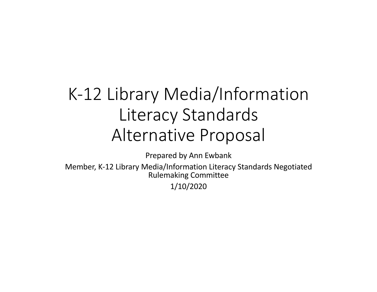# K-12 Library Media/Information Literacy Standards Alternative Proposal

Prepared by Ann Ewbank

 Member, K-12 Library Media/Information Literacy Standards Negotiated Rulemaking Committee

1/10/2020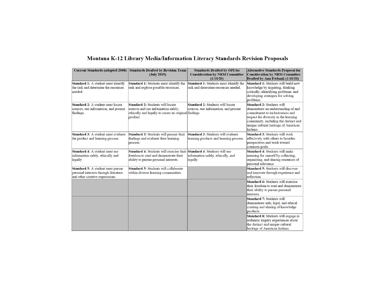| <b>Current Standards (adopted 2008)</b>                                                                              | <b>Standards Drafted by Revision Team</b><br>(July 2019)                                                                                                               | <b>Standards Drafted by OPI for</b><br><b>Consideration by NRM Committee</b><br>(1/10/20) | <b>Alternative Standards Proposal for</b><br><b>Consideration by NRM Committee</b><br>Drafted by Ann Ewbank (1/10/20)                                                                                                                            |
|----------------------------------------------------------------------------------------------------------------------|------------------------------------------------------------------------------------------------------------------------------------------------------------------------|-------------------------------------------------------------------------------------------|--------------------------------------------------------------------------------------------------------------------------------------------------------------------------------------------------------------------------------------------------|
| <b>Standard 1:</b> A student must identify<br>the task and determine the resources<br>needed.                        | <b>Standard 1: Students must identify the</b><br>task and explore possible resources.                                                                                  | Standard 1: Students must identify the<br>task and determine resources needed.            | <b>Standard 1:</b> Students will build new<br>knowledge by inquiring, thinking<br>critically, identifying problems, and<br>developing strategies for solving<br>problems.                                                                        |
| <b>Standard 2:</b> A student must locate<br>sources, use information, and present<br>findings.                       | <b>Standard 2: Students will locate</b><br>sources and use information safely,<br>ethically and legally to create an original findings.<br>product.                    | <b>Standard 2: Students will locate</b><br>sources, use information, and present          | <b>Standard 2: Students will</b><br>demonstrate an understanding of and<br>commitment to inclusiveness and<br>respect for diversity in the learning<br>community, including the distinct and<br>unique cultural heritage of American<br>Indians. |
| <b>Standard 3:</b> A student must evaluate<br>the product and learning process.                                      | <b>Standard 3: Students will present their</b><br>findings and evaluate their learning<br>process.                                                                     | <b>Standard 3: Students will evaluate</b><br>learning products and learning process.      | <b>Standard 3: Students will work</b><br>effectively with others to broaden<br>perspectives and work toward<br>common goals.                                                                                                                     |
| <b>Standard 4:</b> A student must use<br>information safely, ethically and<br>legally.                               | <b>Standard 4:</b> Students will exercise their <b>Standard 4:</b> Students will use<br>freedom to read and demonstrate their<br>ability to pursue personal interests. | information safely, ethically, and<br>legally.                                            | <b>Standard 4: Students will make</b><br>meaning for oneself by collecting,<br>organizing, and sharing resources of<br>personal relevance.                                                                                                       |
| <b>Standard 5:</b> A student must pursue<br>personal interests through literature<br>and other creative expressions. | Standard 5: Students will collaborate<br>within diverse learning communities.                                                                                          |                                                                                           | <b>Standard 5: Students will discover</b><br>and innovate through experience and<br>reflection.                                                                                                                                                  |
|                                                                                                                      |                                                                                                                                                                        |                                                                                           | Standard 6: Students will exercise<br>their freedom to read and demonstrate<br>their ability to pursue personal<br>interests.                                                                                                                    |
|                                                                                                                      |                                                                                                                                                                        |                                                                                           | <b>Standard 7: Students will</b><br>demonstrate safe, legal, and ethical<br>creating and sharing of knowledge<br>products.                                                                                                                       |
|                                                                                                                      |                                                                                                                                                                        |                                                                                           | Standard 8: Students will engage in<br>authentic inquiry experiences about<br>the distinct and unique cultural<br>heritage of American Indians.                                                                                                  |

#### Montana K-12 Library Media/Information Literacy Standards Revision Proposals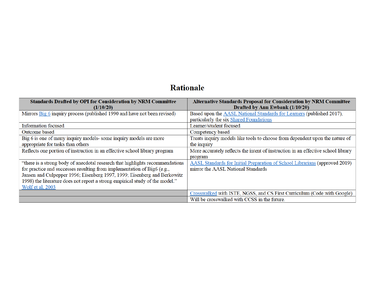### **Rationale**

| <b>Standards Drafted by OPI for Consideration by NRM Committee</b><br>(1/10/20) | <b>Alternative Standards Proposal for Consideration by NRM Committee</b><br>Drafted by Ann Ewbank (1/10/20) |
|---------------------------------------------------------------------------------|-------------------------------------------------------------------------------------------------------------|
| Mirrors Big 6 inquiry process (published 1990 and have not been revised)        | Based upon the AASL National Standards for Learners (published 2017),                                       |
|                                                                                 | particularly the six Shared Foundations                                                                     |
| <b>Information focused</b>                                                      | Learner/student focused                                                                                     |
| Outcome based                                                                   | Competency based                                                                                            |
| Big 6 is one of many inquiry models-some inquiry models are more                | Treats inquiry models like tools to choose from dependent upon the nature of                                |
| appropriate for tasks than others                                               | the inquiry                                                                                                 |
| Reflects one portion of instruction in an effective school library program      | More accurately reflects the intent of instruction in an effective school library                           |
|                                                                                 | program                                                                                                     |
| "there is a strong body of anecdotal research that highlights recommendations   | AASL Standards for Initial Preparation of School Librarians (approved 2019)                                 |
| for practice and successes resulting from implementation of Big6 (e.g.,         | mirror the AASL National Standards                                                                          |
| Jansen and Culpepper 1996; Eisenberg 1997, 1999; Eisenberg and Berkowitz        |                                                                                                             |
| 1998) the literature does not report a strong empirical study of the model."    |                                                                                                             |
| Wolf et al, 2003                                                                |                                                                                                             |
|                                                                                 | Crosswalked with ISTE, NGSS, and CS First Curriculum (Code with Google)                                     |
|                                                                                 | Will be crosswalked with CCSS in the future.                                                                |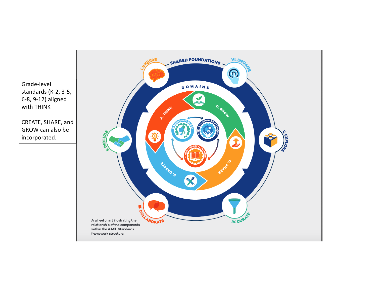standards (K-2, 3-5, 6-8, 9-12) aligned Grade-level with THINK

 GROW can also be CREATE, SHARE, and incorporated.

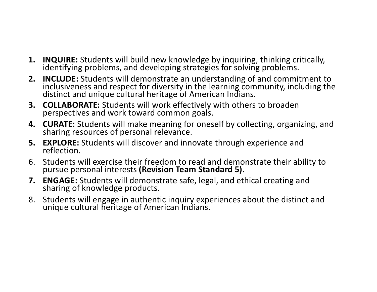- **1. INQUIRE:** Students will build new knowledge by inquiring, thinking critically, identifying problems, and developing strategies for solving problems.
- **2. INCLUDE:** Students will demonstrate an understanding of and commitment to inclusiveness and respect for diversity in the learning community, including the distinct and unique cultural heritage of American Indians.
- **3. COLLABORATE:** Students will work effectively with others to broaden perspectives and work toward common goals.
- **4. CURATE:** Students will make meaning for oneself by collecting, organizing, and sharing resources of personal relevance. sharing resources of personal relevance.
- **5. EXPLORE:** Students will discover and innovate through experience and reflection.
- 6. Students will exercise their freedom to read and demonstrate their ability to pursue personal interests **(Revision Team Standard 5).**
- **7. ENGAGE:** Students will demonstrate safe, legal, and ethical creating and sharing of knowledge products.
- 8. Students will engage in authentic inquiry experiences about the distinct and unique cultural heritage of American Indians.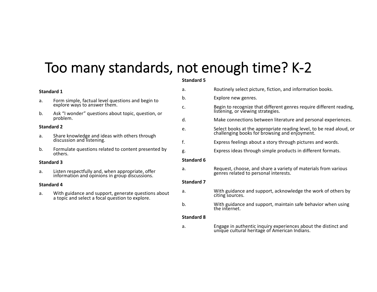### Too many standards, not enough time? K-2

#### **Standard 5**

| <b>Standard 1</b> |                                                                                                        | a.                | Routinely select picture, fiction, and information books.                                                       |  |
|-------------------|--------------------------------------------------------------------------------------------------------|-------------------|-----------------------------------------------------------------------------------------------------------------|--|
| a.                | Form simple, factual level questions and begin to                                                      | b.                | Explore new genres.                                                                                             |  |
|                   | explore ways to answer them.                                                                           | c.                | Begin to recognize that different genres require different reading,<br>listening, or viewing strategies.        |  |
| b.                | Ask "I wonder" questions about topic, question, or<br>problem.                                         | d.                | Make connections between literature and personal experiences.                                                   |  |
| <b>Standard 2</b> |                                                                                                        | e.                | Select books at the appropriate reading level, to be read aloud, or                                             |  |
| a.                | Share knowledge and ideas with others through                                                          |                   | challenging books for browsing and enjoyment.                                                                   |  |
|                   | discussion and listening.                                                                              | f.                | Express feelings about a story through pictures and words.                                                      |  |
| b.                | Formulate questions related to content presented by<br>others.                                         | g.                | Express ideas through simple products in different formats.                                                     |  |
| <b>Standard 3</b> |                                                                                                        | <b>Standard 6</b> |                                                                                                                 |  |
| a.                | Listen respectfully and, when appropriate, offer<br>information and opinions in group discussions.     | a.                | Request, choose, and share a variety of materials from various<br>genres related to personal interests.         |  |
| <b>Standard 4</b> |                                                                                                        | <b>Standard 7</b> |                                                                                                                 |  |
| a.                | With guidance and support, generate questions about<br>a topic and select a focal question to explore. | a.                | With guidance and support, acknowledge the work of others by<br>citing sources.                                 |  |
|                   |                                                                                                        | b.                | With guidance and support, maintain safe behavior when using<br>the internet.                                   |  |
|                   |                                                                                                        | <b>Standard 8</b> |                                                                                                                 |  |
|                   |                                                                                                        | a.                | Engage in authentic inquiry experiences about the distinct and<br>unique cultural heritage of American Indians. |  |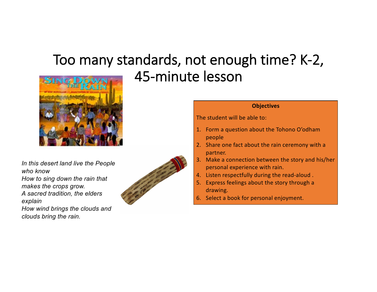## Too many standards, not enough time? K-2, 45-minute lesson

![](_page_6_Picture_1.jpeg)

makes the crops grow. A sacred tradition, the elders  *How wind brings the clouds and*  Un this desert land live the People<br>who know<br>How to sing down the rain that<br>makes the crops grow.<br>A sacred tradition, the elders<br>explain<br>about the story through a<br>drawing.<br>6. Select a book for personal enjoyment.

 *clouds bring the rain.* 

![](_page_6_Picture_3.jpeg)

#### **Objectives**

The student will be able to:

- 1. Form a question about the Tohono O'odham people
- 2. Share one fact about the rain ceremony with a partner.
- personal experience with rain.
- 4. Listen respectfully during the read-aloud.
- 5. Express feelings about the story through a
-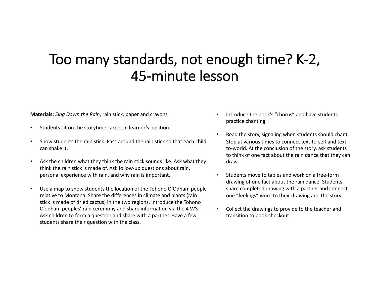### Too many standards, not enough time? K-2, 45-minute lesson

**Materials:** *Sing Down the Rain*, rain stick, paper and crayons

- Students sit on the storytime carpet in learner's position.
- • Show students the rain stick. Pass around the rain stick so that each child can shake it.
- • Ask the children what they think the rain stick sounds like. Ask what they think the rain stick is made of. Ask follow-up questions about rain, personal experience with rain, and why rain is important.
- • Use a map to show students the location of the Tohono O'Odham people relative to Montana. Share the differences in climate and plants (rain stick is made of dried cactus) in the two regions. Introduce the Tohono O'odham peoples' rain ceremony and share information via the 4 W's. Ask children to form a question and share with a partner. Have a few students share their question with the class.
- • Introduce the book's "chorus" and have students practice chanting.
- • Read the story, signaling when students should chant. Stop at various times to connect text-to-self and text- to-world. At the conclusion of the story, ask students to think of one fact about the rain dance that they can draw.
- • Students move to tables and work on a free-form drawing of one fact about the rain dance. Students share completed drawing with a partner and connect one "feelings" word to their drawing and the story.
- • Collect the drawings to provide to the teacher and transition to book checkout.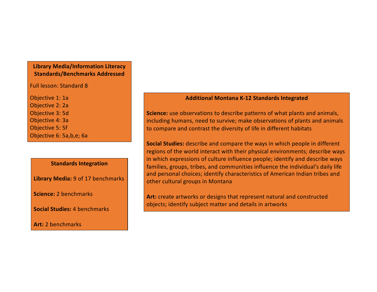#### **Library Media/Information Literacy Standards/Benchmarks Addressed**

Full lesson: Standard 8

 Objective 6: 5a,b,e; 6a Objective 1: 1a Objective 2: 2a Objective 3: 5d Objective 4: 3a Objective 5: 5f

#### **Standards Integration**

 **Library Media:** 9 of 17 benchmarks

**Science:** 2 benchmarks

**Social Studies:** 4 benchmarks

**Art:** 2 benchmarks

#### **Additional Montana K-12 Standards Integrated**

 **Science:** use observations to describe patterns of what plants and animals, including humans, need to survive; make observations of plants and animals to compare and contrast the diversity of life in different habitats

 **Social Studies:** describe and compare the ways in which people in different regions of the world interact with their physical environments; describe ways in which expressions of culture influence people; identify and describe ways families, groups, tribes, and communities influence the individual's daily life and personal choices; identify characteristics of American Indian tribes and other cultural groups in Montana

 **Art:** create artworks or designs that represent natural and constructed objects; identify subject matter and details in artworks